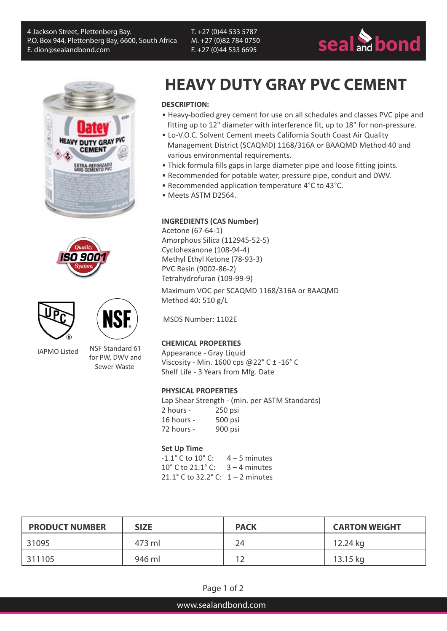T. +27 (0)44 533 5787 M. +27 (0)82 784 0750 F. +27 (0)44 533 6695











IAPMO Listed

 NSF Standard 61 for PW, DWV and Sewer Waste

# **HEAVY DUTY GRAY PVC CEMENT**

# **DESCRIPTION:**

- Heavy-bodied grey cement for use on all schedules and classes PVC pipe and fitting up to 12" diameter with interference fit, up to 18" for non-pressure.
- Lo-V.O.C. Solvent Cement meets California South Coast Air Quality Management District (SCAQMD) 1168/316A or BAAQMD Method 40 and various environmental requirements.
- Thick formula fills gaps in large diameter pipe and loose fitting joints.
- Recommended for potable water, pressure pipe, conduit and DWV.
- Recommended application temperature 4°C to 43°C.
- Meets ASTM D2564.

## **INGREDIENTS (CAS Number)**

Acetone (67-64-1) Amorphous Silica (112945-52-5) Cyclohexanone (108-94-4) Methyl Ethyl Ketone (78-93-3) PVC Resin (9002-86-2) Tetrahydrofuran (109-99-9)

Maximum VOC per SCAQMD 1168/316A or BAAQMD Method 40: 510 g/L

MSDS Number: 1102E

## **CHEMICAL PROPERTIES**

Appearance - Gray Liquid Viscosity - Min. 1600 cps @22° C ± -16° C Shelf Life - 3 Years from Mfg. Date

## **PHYSICAL PROPERTIES**

Lap Shear Strength - (min. per ASTM Standards) 2 hours - 250 psi 16 hours - 500 psi 72 hours - 900 psi

## **Set Up Time**

 $-1.1^{\circ}$  C to  $10^{\circ}$  C:  $4-5$  minutes 10° C to 21.1° C: 3 – 4 minutes 21.1° C to 32.2° C: 1 – 2 minutes

| <b>PRODUCT NUMBER</b> | <b>SIZE</b> | <b>PACK</b> | <b>CARTON WEIGHT</b> |
|-----------------------|-------------|-------------|----------------------|
| 31095                 | 473 ml      | 24          | 12.24 kg             |
| 311105                | 946 ml      | 1 ว         | 13.15 kg             |